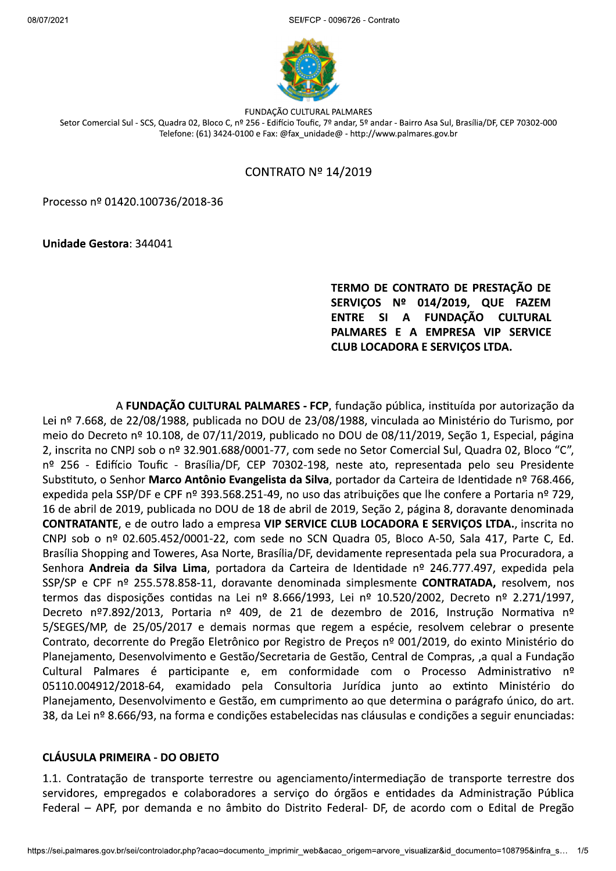SEI/FCP - 0096726 - Contrato



FUNDAÇÃO CULTURAL PALMARES Setor Comercial Sul - SCS, Quadra 02, Bloco C, nº 256 - Edifício Toufic, 7º andar, 5º andar - Bairro Asa Sul, Brasília/DF, CEP 70302-000 Telefone: (61) 3424-0100 e Fax: @fax\_unidade@ - http://www.palmares.gov.br

#### **CONTRATO Nº 14/2019**

Processo nº 01420.100736/2018-36

Unidade Gestora: 344041

TERMO DE CONTRATO DE PRESTAÇÃO DE SERVICOS Nº 014/2019, QUE FAZEM ENTRE SI A FUNDAÇÃO CULTURAL PALMARES E A EMPRESA VIP SERVICE **CLUB LOCADORA E SERVICOS LTDA.** 

A FUNDACÃO CULTURAL PALMARES - FCP, fundação pública, instituída por autorização da Lei nº 7.668, de 22/08/1988, publicada no DOU de 23/08/1988, vinculada ao Ministério do Turismo, por meio do Decreto nº 10.108, de 07/11/2019, publicado no DOU de 08/11/2019, Seção 1, Especial, página 2, inscrita no CNPJ sob o nº 32.901.688/0001-77, com sede no Setor Comercial Sul, Quadra 02, Bloco "C", nº 256 - Edifício Toufic - Brasília/DF, CEP 70302-198, neste ato, representada pelo seu Presidente Substituto, o Senhor Marco Antônio Evangelista da Silva, portador da Carteira de Identidade nº 768.466, expedida pela SSP/DF e CPF nº 393.568.251-49, no uso das atribuições que lhe confere a Portaria nº 729, 16 de abril de 2019, publicada no DOU de 18 de abril de 2019, Seção 2, página 8, doravante denominada **CONTRATANTE, e de outro lado a empresa VIP SERVICE CLUB LOCADORA E SERVIÇOS LTDA., inscrita no** CNPJ sob o nº 02.605.452/0001-22, com sede no SCN Quadra 05, Bloco A-50, Sala 417, Parte C, Ed. Brasília Shopping and Toweres, Asa Norte, Brasília/DF, devidamente representada pela sua Procuradora, a Senhora Andreia da Silva Lima, portadora da Carteira de Identidade nº 246.777.497, expedida pela SSP/SP e CPF nº 255.578.858-11, doravante denominada simplesmente CONTRATADA, resolvem, nos termos das disposições contidas na Lei nº 8.666/1993, Lei nº 10.520/2002, Decreto nº 2.271/1997, Decreto nº7.892/2013, Portaria nº 409, de 21 de dezembro de 2016, Instrução Normativa nº 5/SEGES/MP, de 25/05/2017 e demais normas que regem a espécie, resolvem celebrar o presente Contrato, decorrente do Pregão Eletrônico por Registro de Preços nº 001/2019, do exinto Ministério do Planejamento, Desenvolvimento e Gestão/Secretaria de Gestão, Central de Compras, ,a qual a Fundação Cultural Palmares é participante e, em conformidade com o Processo Administrativo nº 05110.004912/2018-64, examidado pela Consultoria Jurídica junto ao extinto Ministério do Planejamento, Desenvolvimento e Gestão, em cumprimento ao que determina o parágrafo único, do art. 38, da Lei nº 8.666/93, na forma e condições estabelecidas nas cláusulas e condições a seguir enunciadas:

#### **CLÁUSULA PRIMEIRA - DO OBJETO**

1.1. Contratação de transporte terrestre ou agenciamento/intermediação de transporte terrestre dos servidores, empregados e colaboradores a serviço do órgãos e entidades da Administração Pública Federal - APF, por demanda e no âmbito do Distrito Federal- DF, de acordo com o Edital de Pregão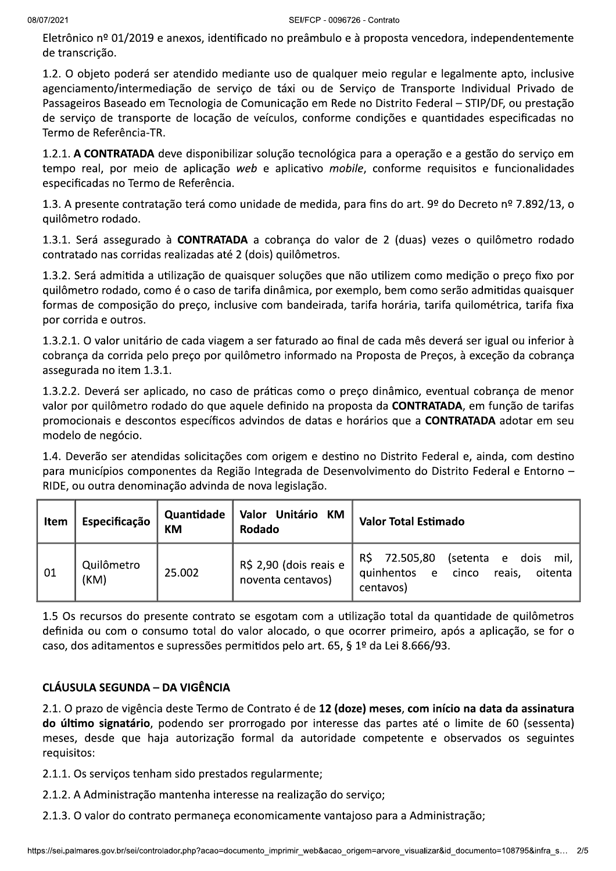Eletrônico nº 01/2019 e anexos, identificado no preâmbulo e à proposta vencedora, independentemente de transcrição.

1.2. O objeto poderá ser atendido mediante uso de qualquer meio regular e legalmente apto, inclusive agenciamento/intermediação de serviço de táxi ou de Serviço de Transporte Individual Privado de Passageiros Baseado em Tecnologia de Comunicação em Rede no Distrito Federal - STIP/DF, ou prestação de serviço de transporte de locação de veículos, conforme condições e quantidades especificadas no Termo de Referência-TR.

1.2.1. A CONTRATADA deve disponibilizar solução tecnológica para a operação e a gestão do serviço em tempo real, por meio de aplicação web e aplicativo mobile, conforme requisitos e funcionalidades especificadas no Termo de Referência.

1.3. A presente contratação terá como unidade de medida, para fins do art. 9º do Decreto nº 7.892/13, o quilômetro rodado.

1.3.1. Será assegurado à **CONTRATADA** a cobrança do valor de 2 (duas) vezes o quilômetro rodado contratado nas corridas realizadas até 2 (dois) quilômetros.

1.3.2. Será admitida a utilização de quaisquer soluções que não utilizem como medição o preço fixo por guilômetro rodado, como é o caso de tarifa dinâmica, por exemplo, bem como serão admitidas quaisquer formas de composição do preço, inclusive com bandeirada, tarifa horária, tarifa quilométrica, tarifa fixa por corrida e outros.

1.3.2.1. O valor unitário de cada viagem a ser faturado ao final de cada mês deverá ser igual ou inferior à cobrança da corrida pelo preço por quilômetro informado na Proposta de Preços, à exceção da cobrança assegurada no item 1.3.1.

1.3.2.2. Deverá ser aplicado, no caso de práticas como o preço dinâmico, eventual cobrança de menor valor por quilômetro rodado do que aquele definido na proposta da CONTRATADA, em função de tarifas promocionais e descontos específicos advindos de datas e horários que a CONTRATADA adotar em seu modelo de negócio.

1.4. Deverão ser atendidas solicitações com origem e destino no Distrito Federal e, ainda, com destino para municípios componentes da Região Integrada de Desenvolvimento do Distrito Federal e Entorno -RIDE, ou outra denominação advinda de nova legislação.

| Item | Especificação      | Quantidade<br>КM | Valor Unitário KM<br>Rodado                 | <b>Valor Total Estimado</b>                                                                               |
|------|--------------------|------------------|---------------------------------------------|-----------------------------------------------------------------------------------------------------------|
| 01   | Quilômetro<br>(KM) | 25.002           | R\$ 2,90 (dois reais e<br>noventa centavos) | R\$ 72.505,80<br>(setenta e<br>mil,<br>dois<br>quinhentos<br>oitenta<br>reais,<br>cinco<br>e<br>centavos) |

1.5 Os recursos do presente contrato se esgotam com a utilização total da quantidade de quilômetros definida ou com o consumo total do valor alocado, o que ocorrer primeiro, após a aplicação, se for o caso, dos aditamentos e supressões permitidos pelo art. 65, § 1º da Lei 8.666/93.

# CLÁUSULA SEGUNDA – DA VIGÊNCIA

2.1. O prazo de vigência deste Termo de Contrato é de 12 (doze) meses, com início na data da assinatura do último signatário, podendo ser prorrogado por interesse das partes até o limite de 60 (sessenta) meses, desde que haja autorização formal da autoridade competente e observados os seguintes requisitos:

2.1.1. Os serviços tenham sido prestados regularmente;

2.1.2. A Administração mantenha interesse na realização do serviço;

2.1.3. O valor do contrato permaneça economicamente vantajoso para a Administração;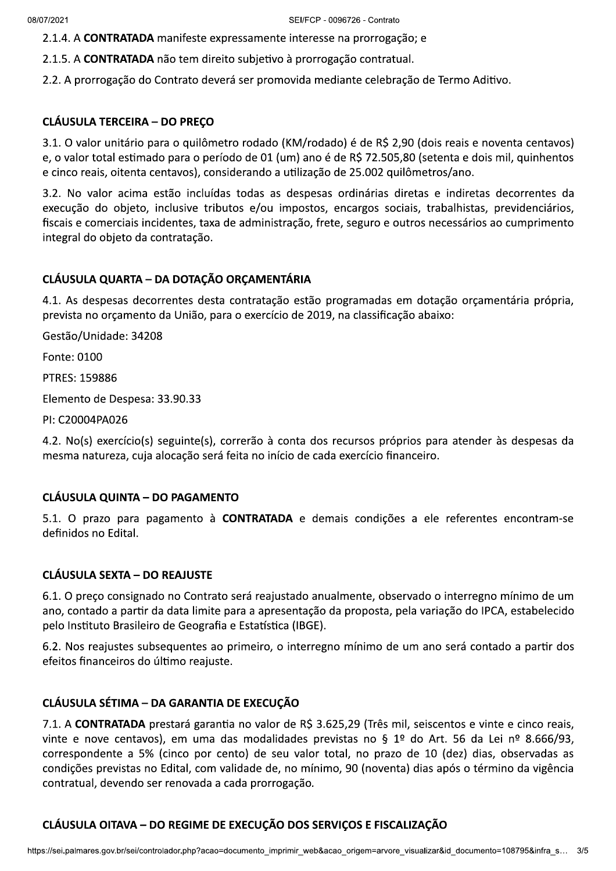2.1.4. A CONTRATADA manifeste expressamente interesse na prorrogação; e

2.1.5. A CONTRATADA não tem direito subjetivo à prorrogação contratual.

2.2. A prorrogação do Contrato deverá ser promovida mediante celebração de Termo Aditivo.

## CLÁUSULA TERCEIRA - DO PREÇO

3.1. O valor unitário para o quilômetro rodado (KM/rodado) é de R\$ 2,90 (dois reais e noventa centavos) e, o valor total estimado para o período de 01 (um) ano é de R\$ 72.505,80 (setenta e dois mil, quinhentos e cinco reais, oitenta centavos), considerando a utilização de 25.002 quilômetros/ano.

3.2. No valor acima estão incluídas todas as despesas ordinárias diretas e indiretas decorrentes da execução do objeto, inclusive tributos e/ou impostos, encargos sociais, trabalhistas, previdenciários, fiscais e comerciais incidentes, taxa de administração, frete, seguro e outros necessários ao cumprimento integral do objeto da contratação.

## CLÁUSULA QUARTA - DA DOTAÇÃO ORCAMENTÁRIA

4.1. As despesas decorrentes desta contratação estão programadas em dotação orçamentária própria, prevista no orçamento da União, para o exercício de 2019, na classificação abaixo:

Gestão/Unidade: 34208

Fonte: 0100

PTRES: 159886

Elemento de Despesa: 33.90.33

PI: C20004PA026

4.2. No(s) exercício(s) seguinte(s), correrão à conta dos recursos próprios para atender às despesas da mesma natureza, cuja alocação será feita no início de cada exercício financeiro.

## CLÁUSULA QUINTA - DO PAGAMENTO

5.1. O prazo para pagamento à **CONTRATADA** e demais condições a ele referentes encontram-se definidos no Edital.

## CLÁUSULA SEXTA – DO REAJUSTE

6.1. O preço consignado no Contrato será reajustado anualmente, observado o interregno mínimo de um ano, contado a partir da data limite para a apresentação da proposta, pela variação do IPCA, estabelecido pelo Instituto Brasileiro de Geografia e Estatística (IBGE).

6.2. Nos reajustes subsequentes ao primeiro, o interregno mínimo de um ano será contado a partir dos efeitos financeiros do último reajuste.

## CLÁUSULA SÉTIMA - DA GARANTIA DE EXECUÇÃO

o ser renovada a cada prorrogação.<br>
— DO REGIME DE EXECUÇÃO DOS SERVIÇOS E FISCALIZAÇÃO<br>
controlador.php?acao=documento\_imprimir\_web&acao\_origem=arvore\_visualizar&id\_documento=108795&infra\_s... 3/5 7.1. A CONTRATADA prestará garantia no valor de R\$ 3.625,29 (Três mil, seiscentos e vinte e cinco reais, vinte e nove centavos), em uma das modalidades previstas no § 1º do Art. 56 da Lei nº 8.666/93, correspondente a 5% (cinco por cento) de seu valor total, no prazo de 10 (dez) dias, observadas as condições previstas no Edital, com validade de, no mínimo, 90 (noventa) dias após o término da vigência contratual, devendo ser renovada a cada prorrogação.

## CLÁUSULA OITAVA – DO REGIME DE EXECUÇÃO DOS SERVIÇOS E FISCALIZAÇÃO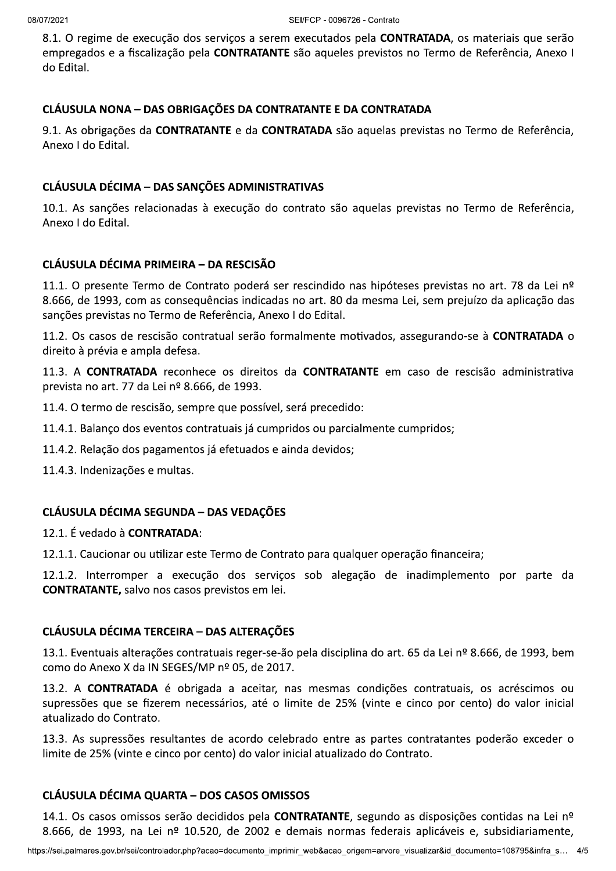8.1. O regime de execução dos serviços a serem executados pela **CONTRATADA**, os materiais que serão empregados e a fiscalização pela CONTRATANTE são aqueles previstos no Termo de Referência, Anexo I do Edital.

## CLÁUSULA NONA - DAS OBRIGAÇÕES DA CONTRATANTE E DA CONTRATADA

9.1. As obrigações da CONTRATANTE e da CONTRATADA são aquelas previstas no Termo de Referência, Anexo I do Edital.

#### CLÁUSULA DÉCIMA - DAS SANÇÕES ADMINISTRATIVAS

10.1. As sanções relacionadas à execução do contrato são aquelas previstas no Termo de Referência, Anexo I do Edital.

#### CLÁUSULA DÉCIMA PRIMEIRA - DA RESCISÃO

11.1. O presente Termo de Contrato poderá ser rescindido nas hipóteses previstas no art. 78 da Lei nº 8.666, de 1993, com as consequências indicadas no art. 80 da mesma Lei, sem prejuízo da aplicação das sanções previstas no Termo de Referência, Anexo I do Edital.

11.2. Os casos de rescisão contratual serão formalmente motivados, assegurando-se à CONTRATADA o direito à prévia e ampla defesa.

11.3. A CONTRATADA reconhece os direitos da CONTRATANTE em caso de rescisão administrativa prevista no art. 77 da Lei nº 8.666, de 1993.

- 11.4. O termo de rescisão, sempre que possível, será precedido:
- 11.4.1. Balanço dos eventos contratuais já cumpridos ou parcialmente cumpridos;
- 11.4.2. Relação dos pagamentos já efetuados e ainda devidos;
- 11.4.3. Indenizações e multas.

#### CLÁUSULA DÉCIMA SEGUNDA - DAS VEDAÇÕES

12.1. É vedado à CONTRATADA:

12.1.1. Caucionar ou utilizar este Termo de Contrato para qualquer operação financeira;

12.1.2. Interromper a execução dos serviços sob alegação de inadimplemento por parte da CONTRATANTE, salvo nos casos previstos em lei.

#### CLÁUSULA DÉCIMA TERCEIRA - DAS ALTERAÇÕES

13.1. Eventuais alterações contratuais reger-se-ão pela disciplina do art. 65 da Lei nº 8.666, de 1993, bem como do Anexo X da IN SEGES/MP nº 05, de 2017.

13.2. A **CONTRATADA** é obrigada a aceitar, nas mesmas condições contratuais, os acréscimos ou supressões que se fizerem necessários, até o limite de 25% (vinte e cinco por cento) do valor inicial atualizado do Contrato.

13.3. As supressões resultantes de acordo celebrado entre as partes contratantes poderão exceder o limite de 25% (vinte e cinco por cento) do valor inicial atualizado do Contrato.

#### CLÁUSULA DÉCIMA QUARTA - DOS CASOS OMISSOS

**QUARTA – DOS CASOS OMISSOS**<br>ssos serão decididos pela **CONTRATANTE**, segundo as disposições contidas na Lei nº<br>a Lei nº 10.520, de 2002 e demais normas federais aplicáveis e, subsidiariamente,<br>controlador.php?acao=documen 14.1. Os casos omissos serão decididos pela CONTRATANTE, segundo as disposições contidas na Lei nº 8.666, de 1993, na Lei nº 10.520, de 2002 e demais normas federais aplicáveis e, subsidiariamente,